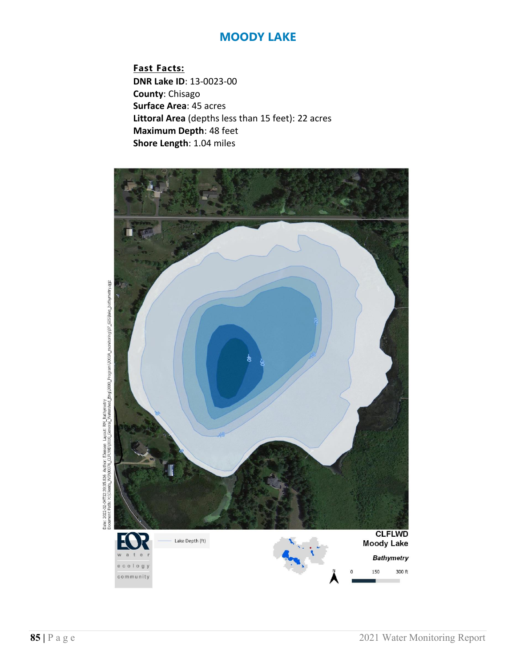**Fast Facts: DNR Lake ID**: 13-0023-00 **County**: Chisago **Surface Area**: 45 acres **Littoral Area** (depths less than 15 feet): 22 acres **Maximum Depth**: 48 feet **Shore Length**: 1.04 miles



Date: 2022-02-04T12:39:35.826 Author: Elensen Layout: RM Bathymetry<br>Document Path: X:(Clients\_WD)(0376\_CLFU/D)(0310\_General\_Matershed\_Eng)3000\_Program\30334\_monitoring)(27\_GIS\lake\_bathymetry.qgz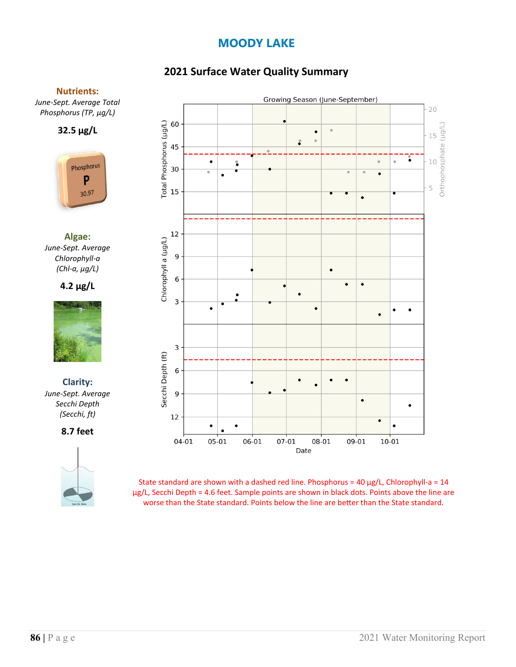# **2021 Surface Water Quality Summary**

#### **Nutrients:**

*June-Sept. Average Total Phosphorus (TP, µg/L)*





**Algae:** *June-Sept. Average Chlorophyll-a (Chl-a, µg/L)*

### **4.2 µg/L**



**Clarity:**  *June-Sept. Average Secchi Depth (Secchi, ft)*

**8.7 feet**





State standard are shown with a dashed red line. Phosphorus =  $40 \mu g/L$ , Chlorophyll-a =  $14$ µg/L, Secchi Depth = 4.6 feet. Sample points are shown in black dots. Points above the line are worse than the State standard. Points below the line are better than the State standard.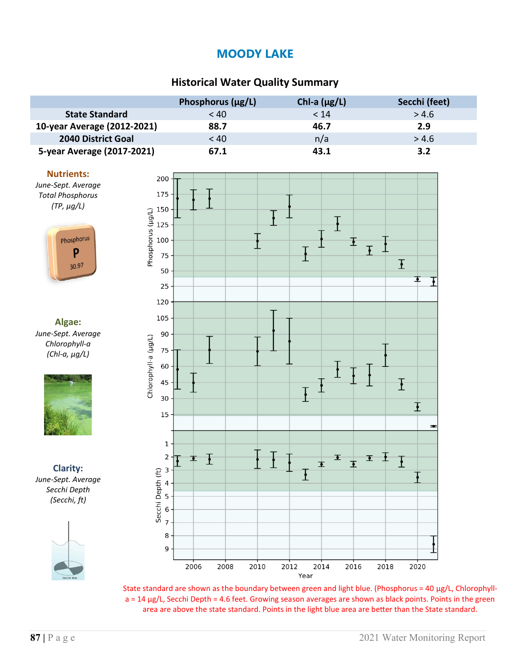## **Historical Water Quality Summary**

|                             | Phosphorus $(\mu g/L)$ | Chl-a $(\mu g/L)$ | Secchi (feet) |
|-----------------------------|------------------------|-------------------|---------------|
| <b>State Standard</b>       | < 40                   | < 14              | > 4.6         |
| 10-year Average (2012-2021) | 88.7                   | 46.7              | 2.9           |
| <b>2040 District Goal</b>   | < 40                   | n/a               | > 4.6         |
| 5-year Average (2017-2021)  | 67.1                   | 43.1              | 3.2           |

#### **Nutrients:**

*June-Sept. Average Total Phosphorus (TP, µg/L)*



**Algae:** *June-Sept. Average Chlorophyll-a (Chl-a, µg/L)*



**Clarity:** *June-Sept. Average Secchi Depth (Secchi, ft)*





State standard are shown as the boundary between green and light blue. (Phosphorus = 40  $\mu$ g/L, Chlorophylla = 14 µg/L, Secchi Depth = 4.6 feet. Growing season averages are shown as black points. Points in the green area are above the state standard. Points in the light blue area are better than the State standard.